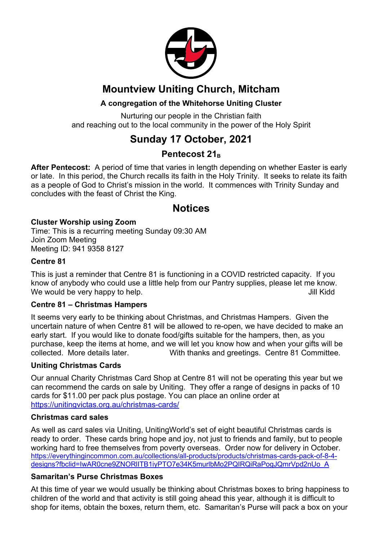

# **Mountview Uniting Church, Mitcham**

#### **A congregation of the Whitehorse Uniting Cluster**

Nurturing our people in the Christian faith and reaching out to the local community in the power of the Holy Spirit

# **Sunday 17 October, 2021**

### Pentecost 21<sub>B</sub>

**After Pentecost:** A period of time that varies in length depending on whether Easter is early or late. In this period, the Church recalls its faith in the Holy Trinity. It seeks to relate its faith as a people of God to Christ's mission in the world. It commences with Trinity Sunday and concludes with the feast of Christ the King.

### **Notices**

#### **Cluster Worship using Zoom**

Time: This is a recurring meeting Sunday 09:30 AM Join Zoom Meeting Meeting ID: 941 9358 8127

#### **Centre 81**

This is just a reminder that Centre 81 is functioning in a COVID restricted capacity. If you know of anybody who could use a little help from our Pantry supplies, please let me know. We would be very happy to help. The same state of the state of the state of the state of the state of the state of the state of the state of the state of the state of the state of the state of the state of the state of the

#### **Centre 81 – Christmas Hampers**

It seems very early to be thinking about Christmas, and Christmas Hampers. Given the uncertain nature of when Centre 81 will be allowed to re-open, we have decided to make an early start. If you would like to donate food/gifts suitable for the hampers, then, as you purchase, keep the items at home, and we will let you know how and when your gifts will be collected. More details later. With thanks and greetings. Centre 81 Committee.

#### **Uniting Christmas Cards**

Our annual Charity Christmas Card Shop at Centre 81 will not be operating this year but we can recommend the cards on sale by Uniting. They offer a range of designs in packs of 10 cards for \$11.00 per pack plus postage. You can place an online order at https://unitingvictas.org.au/christmas-cards/

#### **Christmas card sales**

As well as card sales via Uniting, UnitingWorld's set of eight beautiful Christmas cards is ready to order. These cards bring hope and joy, not just to friends and family, but to people working hard to free themselves from poverty overseas. Order now for delivery in October. https://everythingincommon.com.au/collections/all-products/products/christmas-cards-pack-of-8-4 designs?fbclid=IwAR0cne9ZNORIITB1iyPTO7e34K5murlbMo2PQIRQiRaPogJQmrVpd2nUo\_A

#### **Samaritan's Purse Christmas Boxes**

At this time of year we would usually be thinking about Christmas boxes to bring happiness to children of the world and that activity is still going ahead this year, although it is difficult to shop for items, obtain the boxes, return them, etc. Samaritan's Purse will pack a box on your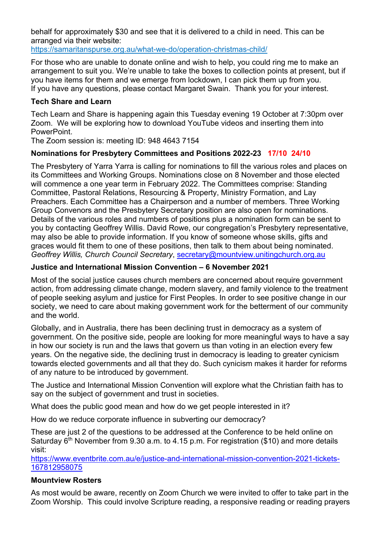behalf for approximately \$30 and see that it is delivered to a child in need. This can be arranged via their website:

https://samaritanspurse.org.au/what-we-do/operation-christmas-child/

For those who are unable to donate online and wish to help, you could ring me to make an arrangement to suit you. We're unable to take the boxes to collection points at present, but if you have items for them and we emerge from lockdown, I can pick them up from you. If you have any questions, please contact Margaret Swain. Thank you for your interest.

#### **Tech Share and Learn**

Tech Learn and Share is happening again this Tuesday evening 19 October at 7:30pm over Zoom. We will be exploring how to download YouTube videos and inserting them into **PowerPoint** 

The Zoom session is: meeting ID: 948 4643 7154

#### **Nominations for Presbytery Committees and Positions 2022-23 17/10 24/10**

The Presbytery of Yarra Yarra is calling for nominations to fill the various roles and places on its Committees and Working Groups. Nominations close on 8 November and those elected will commence a one year term in February 2022. The Committees comprise: Standing Committee, Pastoral Relations, Resourcing & Property, Ministry Formation, and Lay Preachers. Each Committee has a Chairperson and a number of members. Three Working Group Convenors and the Presbytery Secretary position are also open for nominations. Details of the various roles and numbers of positions plus a nomination form can be sent to you by contacting Geoffrey Willis. David Rowe, our congregation's Presbytery representative, may also be able to provide information. If you know of someone whose skills, gifts and graces would fit them to one of these positions, then talk to them about being nominated. *Geoffrey Willis, Church Council Secretary*, secretary@mountview.unitingchurch.org.au

#### **Justice and International Mission Convention – 6 November 2021**

Most of the social justice causes church members are concerned about require government action, from addressing climate change, modern slavery, and family violence to the treatment of people seeking asylum and justice for First Peoples. In order to see positive change in our society, we need to care about making government work for the betterment of our community and the world.

Globally, and in Australia, there has been declining trust in democracy as a system of government. On the positive side, people are looking for more meaningful ways to have a say in how our society is run and the laws that govern us than voting in an election every few years. On the negative side, the declining trust in democracy is leading to greater cynicism towards elected governments and all that they do. Such cynicism makes it harder for reforms of any nature to be introduced by government.

The Justice and International Mission Convention will explore what the Christian faith has to say on the subject of government and trust in societies.

What does the public good mean and how do we get people interested in it?

How do we reduce corporate influence in subverting our democracy?

These are just 2 of the questions to be addressed at the Conference to be held online on Saturday  $6<sup>th</sup>$  November from 9.30 a.m. to 4.15 p.m. For registration (\$10) and more details visit:

https://www.eventbrite.com.au/e/justice-and-international-mission-convention-2021-tickets-167812958075

#### **Mountview Rosters**

As most would be aware, recently on Zoom Church we were invited to offer to take part in the Zoom Worship. This could involve Scripture reading, a responsive reading or reading prayers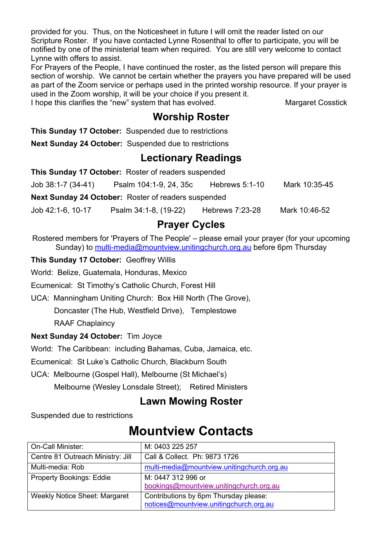provided for you. Thus, on the Noticesheet in future I will omit the reader listed on our Scripture Roster. If you have contacted Lynne Rosenthal to offer to participate, you will be notified by one of the ministerial team when required. You are still very welcome to contact Lynne with offers to assist.

For Prayers of the People, I have continued the roster, as the listed person will prepare this section of worship. We cannot be certain whether the prayers you have prepared will be used as part of the Zoom service or perhaps used in the printed worship resource. If your prayer is used in the Zoom worship, it will be your choice if you present it.

I hope this clarifies the "new" system that has evolved. Margaret Cosstick

### **Worship Roster**

**This Sunday 17 October:** Suspended due to restrictions

**Next Sunday 24 October:** Suspended due to restrictions

### **Lectionary Readings**

| This Sunday 17 October: Roster of readers suspended |                        |                |               |  |
|-----------------------------------------------------|------------------------|----------------|---------------|--|
| Job 38:1-7 (34-41)                                  | Psalm 104:1-9, 24, 35c | Hebrews 5:1-10 | Mark 10:35-45 |  |
| Next Sunday 24 October: Roster of readers suspended |                        |                |               |  |

Job 42:1-6, 10-17 Psalm 34:1-8, (19-22) Hebrews 7:23-28 Mark 10:46-52

# **Prayer Cycles**

Rostered members for 'Prayers of The People' – please email your prayer (for your upcoming Sunday) to multi-media@mountview.unitingchurch.org.au before 6pm Thursday

#### **This Sunday 17 October:** Geoffrey Willis

World: Belize, Guatemala, Honduras, Mexico

Ecumenical: St Timothy's Catholic Church, Forest Hill

UCA: Manningham Uniting Church: Box Hill North (The Grove),

Doncaster (The Hub, Westfield Drive), Templestowe

RAAF Chaplaincy

#### **Next Sunday 24 October:** Tim Joyce

World: The Caribbean: including Bahamas, Cuba, Jamaica, etc.

Ecumenical: St Luke's Catholic Church, Blackburn South

UCA: Melbourne (Gospel Hall), Melbourne (St Michael's)

Melbourne (Wesley Lonsdale Street); Retired Ministers

# **Lawn Mowing Roster**

Suspended due to restrictions

# **Mountview Contacts**

| On-Call Minister:                    | M: 0403 225 257                                                                 |
|--------------------------------------|---------------------------------------------------------------------------------|
| Centre 81 Outreach Ministry: Jill    | Call & Collect. Ph: 9873 1726                                                   |
| Multi-media: Rob                     | multi-media@mountview.unitingchurch.org.au                                      |
| <b>Property Bookings: Eddie</b>      | M: 0447 312 996 or<br>bookings@mountview.unitingchurch.org.au                   |
| <b>Weekly Notice Sheet: Margaret</b> | Contributions by 6pm Thursday please:<br>notices@mountview.unitingchurch.org.au |